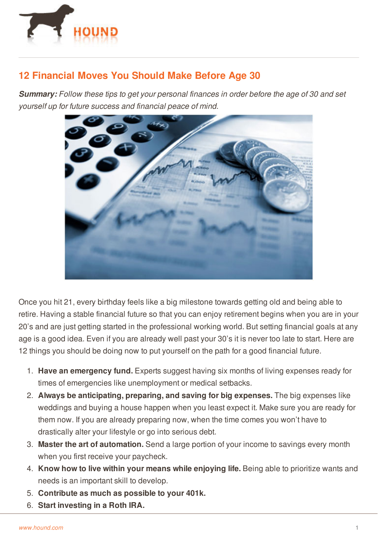

## **12 Financial Moves You Should Make Before Age 30**

*Summary: Follow these tips to get your personal finances in order before the age of 30 and set yourself up for future success and financial peace of mind.*



Once you hit 21, every birthday feels like a big milestone towards getting old and being able to retire. Having a stable financial future so that you can enjoy retirement begins when you are in your 20's and are just getting started in the professional working world. But setting financial goals at any age is a good idea. Even if you are already well past your 30's it is never too late to start. Here are 12 things you should be doing now to put yourself on the path for a good financial future.

- 1. **Have an emergency fund.** Experts suggest having six months of living expenses ready for times of emergencies like unemployment or medical setbacks.
- 2. **Always be anticipating, preparing, and saving for big expenses.** The big expenses like weddings and buying a house happen when you least expect it. Make sure you are ready for them now. If you are already preparing now, when the time comes you won't have to drastically alter your lifestyle or go into serious debt.
- 3. **Master the art of automation.** Send a large portion of your income to savings every month when you first receive your paycheck.
- 4. **[Know](http://www.hound.com/) how to live within your means while enjoying life.** Being able to prioritize wants and needs is an important skill to develop.
- 5. **Contribute as much as possible to your 401k.**
- 6. **Start investing in a Roth IRA.**